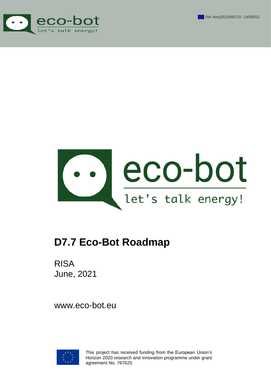





# **D7.7 Eco-Bot Roadmap**

RISA June, 2021

www.eco-bot.eu



This project has received funding from the European Union's Horizon 2020 research and innovation programme under grant agreement No. 767625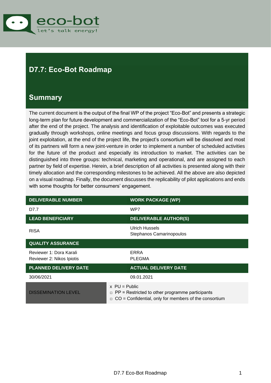

## <span id="page-1-0"></span>**D7.7: Eco-Bot Roadmap**

### <span id="page-1-1"></span>**Summary**

The current document is the output of the final WP of the project "Eco-Bot" and presents a strategic long-term plan for future development and commercialization of the "Eco-Bot" tool for a 5-yr period after the end of the project. The analysis and identification of exploitable outcomes was executed gradually through workshops, online meetings and focus group discussions. With regards to the joint exploitation, at the end of the project life, the project's consortium will be dissolved and most of its partners will form a new joint-venture in order to implement a number of scheduled activities for the future of the product and especially its introduction to market. The activities can be distinguished into three groups: technical, marketing and operational, and are assigned to each partner by field of expertise. Herein, a brief description of all activities is presented along with their timely allocation and the corresponding milestones to be achieved. All the above are also depicted on a visual roadmap. Finally, the document discusses the replicability of pilot applications and ends with some thoughts for better consumers' engagement.

| <b>DELIVERABLE NUMBER</b>                            | <b>WORK PACKAGE (WP)</b>                                                                                                              |
|------------------------------------------------------|---------------------------------------------------------------------------------------------------------------------------------------|
| D7.7                                                 | WP7                                                                                                                                   |
| <b>LEAD BENEFICIARY</b>                              | <b>DELIVERABLE AUTHOR(S)</b>                                                                                                          |
| <b>RISA</b>                                          | <b>Ulrich Hussels</b><br>Stephanos Camarinopoulos                                                                                     |
| <b>QUALITY ASSURANCE</b>                             |                                                                                                                                       |
| Reviewer 1: Dora Karali<br>Reviewer 2: Nikos Ipiotis | <b>ERRA</b><br><b>PLEGMA</b>                                                                                                          |
| <b>PLANNED DELIVERY DATE</b>                         | <b>ACTUAL DELIVERY DATE</b>                                                                                                           |
| 30/06/2021                                           | 09.01.2021                                                                                                                            |
| <b>DISSEMINATION LEVEL</b>                           | $x$ PU = Public<br>PP = Restricted to other programme participants<br>$\Box$<br>CO = Confidential, only for members of the consortium |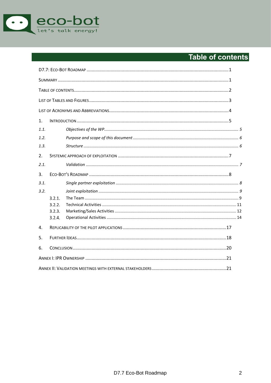

## <span id="page-2-0"></span>Table of contents

| 1.   |        |  |  |  |  |  |  |
|------|--------|--|--|--|--|--|--|
| 1.1. |        |  |  |  |  |  |  |
| 1.2. |        |  |  |  |  |  |  |
| 1.3. |        |  |  |  |  |  |  |
| 2.   |        |  |  |  |  |  |  |
| 2.1. |        |  |  |  |  |  |  |
| 3.   |        |  |  |  |  |  |  |
| 3.1. |        |  |  |  |  |  |  |
| 3.2. |        |  |  |  |  |  |  |
|      | 3.2.1. |  |  |  |  |  |  |
|      | 3.2.2. |  |  |  |  |  |  |
|      | 3.2.3. |  |  |  |  |  |  |
|      | 3.2.4. |  |  |  |  |  |  |
| 4.   |        |  |  |  |  |  |  |
| 5.   |        |  |  |  |  |  |  |
| 6.   |        |  |  |  |  |  |  |
|      |        |  |  |  |  |  |  |
|      |        |  |  |  |  |  |  |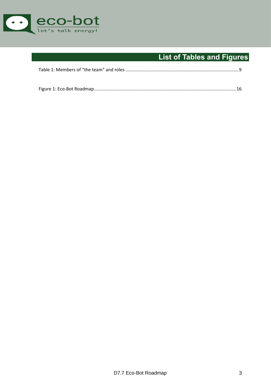

## **List of Tables and Figures**

<span id="page-3-0"></span>

|--|

|--|--|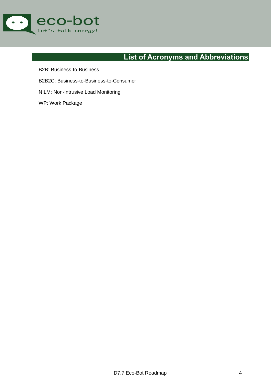

## **List of Acronyms and Abbreviations**

- <span id="page-4-0"></span>B2B: Business-to-Business
- B2B2C: Business-to-Business-to-Consumer
- NILM: Non-Intrusive Load Monitoring
- WP: Work Package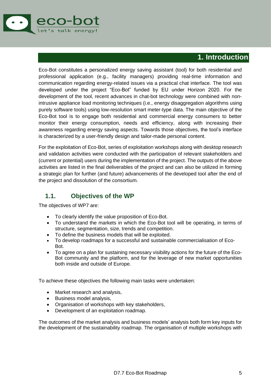

### **1. Introduction**

<span id="page-5-0"></span>Eco-Bot constitutes a personalized energy saving assistant (tool) for both residential and professional application (e.g., facility managers) providing real-time information and communication regarding energy-related issues via a practical chat interface. The tool was developed under the project "Eco-Bot" funded by EU under Horizon 2020. For the development of the tool, recent advances in chat-bot technology were combined with nonintrusive appliance load monitoring techniques (i.e., energy disaggregation algorithms using purely software tools) using low-resolution smart meter-type data. The main objective of the Eco-Bot tool is to engage both residential and commercial energy consumers to better monitor their energy consumption, needs and efficiency, along with increasing their awareness regarding energy saving aspects. Towards those objectives, the tool's interface is characterized by a user-friendly design and tailor-made personal content.

For the exploitation of Eco-Bot, series of exploitation workshops along with desktop research and validation activities were conducted with the participation of relevant stakeholders and (current or potential) users during the implementation of the project. The outputs of the above activities are listed in the final deliverables of the project and can also be utilized in forming a strategic plan for further (and future) advancements of the developed tool after the end of the project and dissolution of the consortium.

#### <span id="page-5-1"></span>**1.1. Objectives of the WP**

The objectives of WP7 are:

- To clearly identify the value proposition of Eco-Bot.
- To understand the markets in which the Eco-Bot tool will be operating, in terms of structure, segmentation, size, trends and competition.
- To define the business models that will be exploited.
- To develop roadmaps for a successful and sustainable commercialisation of Eco-Bot.
- To agree on a plan for sustaining necessary visibility actions for the future of the Eco-Bot community and the platform, and for the leverage of new market opportunities both inside and outside of Europe.

To achieve these objectives the following main tasks were undertaken:

- Market research and analysis,
- Business model analysis,
- Organisation of workshops with key stakeholders,
- Development of an exploitation roadmap.

The outcomes of the market analysis and business models' analysis both form key inputs for the development of the sustainability roadmap. The organisation of multiple workshops with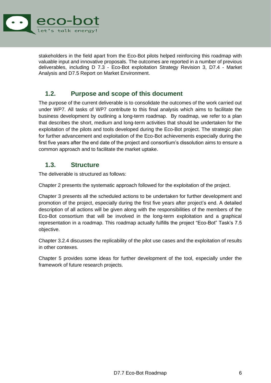

stakeholders in the field apart from the Eco-Bot pilots helped reinforcing this roadmap with valuable input and innovative proposals. The outcomes are reported in a number of previous deliverables, including D 7.3 - Eco-Bot exploitation Strategy Revision 3, D7.4 - Market Analysis and D7.5 Report on Market Environment.

#### <span id="page-6-0"></span>**1.2. Purpose and scope of this document**

The purpose of the current deliverable is to consolidate the outcomes of the work carried out under WP7. All tasks of WP7 contribute to this final analysis which aims to facilitate the business development by outlining a long-term roadmap. By roadmap, we refer to a plan that describes the short, medium and long-term activities that should be undertaken for the exploitation of the pilots and tools developed during the Eco-Bot project. The strategic plan for further advancement and exploitation of the Eco-Bot achievements especially during the first five years after the end date of the project and consortium's dissolution aims to ensure a common approach and to facilitate the market uptake.

#### <span id="page-6-1"></span>**1.3. Structure**

The deliverable is structured as follows:

Chapter [2](#page-7-0) presents the systematic approach followed for the exploitation of the project.

Chapter [3](#page-8-0) presents all the scheduled actions to be undertaken for further development and promotion of the project, especially during the first five years after project's end. A detailed description of all actions will be given along with the responsibilities of the members of the Eco-Bot consortium that will be involved in the long-term exploitation and a graphical representation in a roadmap. This roadmap actually fulfills the project "Eco-Bot" Task's 7.5 objective.

Chapter [3.2.4](#page-14-0) discusses the replicability of the pilot use cases and the exploitation of results in other contexes.

Chapter 5 provides some ideas for further development of the tool, especially under the framework of future research projects.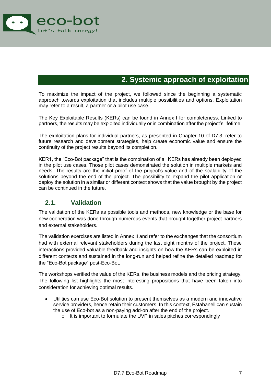

### **2. Systemic approach of exploitation**

<span id="page-7-0"></span>To maximize the impact of the project, we followed since the beginning a systematic approach towards exploitation that includes multiple possibilities and options. Exploitation may refer to a result, a partner or a pilot use case.

The Key Exploitable Results (KERs) can be found in Annex I for completeness. Linked to partners, the results may be exploited individually or in combination after the project's lifetime.

The exploitation plans for individual partners, as presented in Chapter 10 of D7.3, refer to future research and development strategies, help create economic value and ensure the continuity of the project results beyond its completion.

KER1, the "Eco-Bot package" that is the combination of all KERs has already been deployed in the pilot use cases. Those pilot cases demonstrated the solution in multiple markets and needs. The results are the initial proof of the project's value and of the scalability of the solutions beyond the end of the project. The possibility to expand the pilot application or deploy the solution in a similar or different context shows that the value brought by the project can be continued in the future.

#### <span id="page-7-1"></span>**2.1. Validation**

The validation of the KERs as possible tools and methods, new knowledge or the base for new cooperation was done through numerous events that brought together project partners and external stakeholders.

The validation exercises are listed in Annex II and refer to the exchanges that the consortium had with external relevant stakeholders during the last eight months of the project. These interactions provided valuable feedback and insights on how the KERs can be exploited in different contexts and sustained in the long-run and helped refine the detailed roadmap for the "Eco-Bot package" post-Eco-Bot.

The workshops verified the value of the KERs, the business models and the pricing strategy. The following list highlights the most interesting propositions that have been taken into consideration for achieving optimal results.

- Utilities can use Eco-Bot solution to present themselves as a modern and innovative service providers, hence retain their customers. In this context, Estabanell can sustain the use of Eco-bot as a non-paying add-on after the end of the project.
	- o It is important to formulate the UVP in sales pitches correspondingly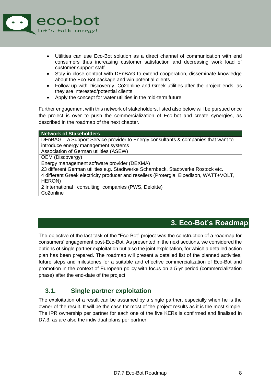

- Utilities can use Eco-Bot solution as a direct channel of communication with end consumers thus increasing customer satisfaction and decreasing work load of customer support staff
- Stay in close contact with DEnBAG to extend cooperation, disseminate knowledge about the Eco-Bot package and win potential clients
- Follow-up with Discovergy, Co2online and Greek utilities after the project ends, as they are interested/potential clients
- Apply the concept for water utilities in the mid-term future

Further engagement with this network of stakeholders, listed also below will be pursued once the project is over to push the commercialization of Eco-bot and create synergies, as described in the roadmap of the next chapter.

| <b>Network of Stakeholders</b>                                                         |
|----------------------------------------------------------------------------------------|
| DEnBAG – a Support Service provider to Energy consultants & companies that want to     |
| introduce energy management systems                                                    |
| Association of German utilities (ASEW)                                                 |
| OEM (Discovergy)                                                                       |
| Energy management software provider (DEXMA)                                            |
| 23 different German utilities e.g. Stadtwerke Scharnbeck, Stadtwerke Rostock etc.      |
| 4 different Greek electricity producer and resellers (Protergia, Elpedison, WATT+VOLT, |
| HERON)                                                                                 |
| 2 International consulting companies (PWS, Deloitte)                                   |
| Co <sub>2</sub> online                                                                 |

### **3. Eco-Bot's Roadmap**

<span id="page-8-0"></span>The objective of the last task of the "Eco-Bot" project was the construction of a roadmap for consumers' engagement post-Eco-Bot. As presented in the next sections, we considered the options of single partner exploitation but also the joint exploitation, for which a detailed action plan has been prepared. The roadmap will present a detailed list of the planned activities, future steps and milestones for a suitable and effective commercialization of Eco-Bot and promotion in the context of European policy with focus on a 5-yr period (commercialization phase) after the end-date of the project.

#### <span id="page-8-1"></span>**3.1. Single partner exploitation**

The exploitation of a result can be assumed by a single partner, especially when he is the owner of the result. It will be the case for most of the project results as it is the most simple. The IPR ownership per partner for each one of the five KERs is confirmed and finalised in D7.3, as are also the individual plans per partner.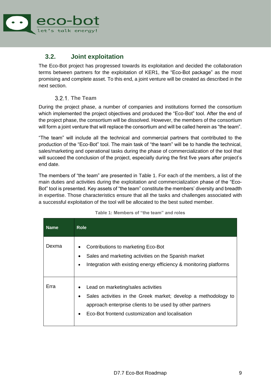

### <span id="page-9-0"></span>**3.2. Joint exploitation**

The Eco-Bot project has progressed towards its exploitation and decided the collaboration terms between partners for the exploitation of KER1, the "Eco-Bot package" as the most promising and complete asset. To this end, a joint venture will be created as described in the next section.

#### **The Team**

<span id="page-9-1"></span>During the project phase, a number of companies and institutions formed the consortium which implemented the project objectives and produced the "Eco-Bot" tool. After the end of the project phase, the consortium will be dissolved. However, the members of the consortium will form a joint venture that will replace the consortium and will be called herein as "the team".

"The team" will include all the technical and commercial partners that contributed to the production of the "Eco-Bot" tool. The main task of "the team" will be to handle the technical, sales/marketing and operational tasks during the phase of commercialization of the tool that will succeed the conclusion of the project, especially during the first five years after project's end date.

The members of "the team" are presented in [Table 1.](#page-9-2) For each of the members, a list of the main duties and activities during the exploitation and commercialization phase of the "Eco-Bot" tool is presented. Key assets of "the team" constitute the members' diversity and breadth in expertise. Those characteristics ensure that all the tasks and challenges associated with a successful exploitation of the tool will be allocated to the best suited member.

<span id="page-9-2"></span>

| <b>Name</b> | <b>Role</b>                                                                                                                                                                                                         |
|-------------|---------------------------------------------------------------------------------------------------------------------------------------------------------------------------------------------------------------------|
| Dexma       | Contributions to marketing Eco-Bot<br>Sales and marketing activities on the Spanish market<br>Integration with existing energy efficiency & monitoring platforms                                                    |
| Erra        | Lead on marketing/sales activities<br>Sales activities in the Greek market; develop a methodology to<br>approach enterprise clients to be used by other partners<br>Eco-Bot frontend customization and localisation |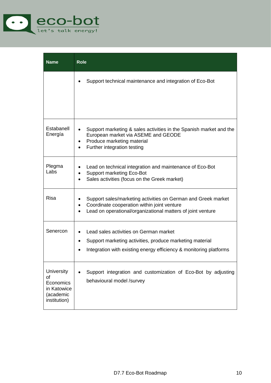

| <b>Name</b>                                                               | <b>Role</b>                                                                                                                                                                              |  |  |  |  |  |  |
|---------------------------------------------------------------------------|------------------------------------------------------------------------------------------------------------------------------------------------------------------------------------------|--|--|--|--|--|--|
|                                                                           | Support technical maintenance and integration of Eco-Bot                                                                                                                                 |  |  |  |  |  |  |
| Estabanell<br>Energía                                                     | Support marketing & sales activities in the Spanish market and the<br>European market via ASEME and GEODE<br>Produce marketing material<br>Further integration testing                   |  |  |  |  |  |  |
| Plegma<br>Labs                                                            | Lead on technical integration and maintenance of Eco-Bot<br><b>Support marketing Eco-Bot</b><br>Sales activities (focus on the Greek market)                                             |  |  |  |  |  |  |
| <b>Risa</b>                                                               | Support sales/marketing activities on German and Greek market<br>Coordinate cooperation within joint venture<br>$\bullet$<br>Lead on operational/organizational matters of joint venture |  |  |  |  |  |  |
| Senercon                                                                  | Lead sales activities on German market<br>Support marketing activities, produce marketing material<br>Integration with existing energy efficiency & monitoring platforms                 |  |  |  |  |  |  |
| University<br>of<br>Economics<br>in Katowice<br>(academic<br>institution) | Support integration and customization of Eco-Bot by adjusting<br>behavioural model /survey                                                                                               |  |  |  |  |  |  |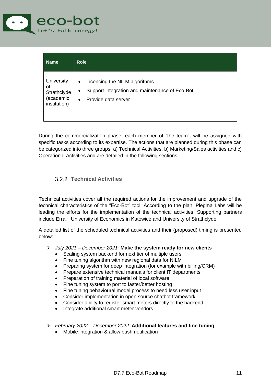

| <b>Name</b>                                                         | <b>Role</b>                                                                                                                           |
|---------------------------------------------------------------------|---------------------------------------------------------------------------------------------------------------------------------------|
| <b>University</b><br>of<br>Strathclyde<br>(academic<br>institution) | Licencing the NILM algorithms<br>٠<br>Support integration and maintenance of Eco-Bot<br>$\bullet$<br>Provide data server<br>$\bullet$ |

During the commercialization phase, each member of "the team", will be assigned with specific tasks according to its expertise. The actions that are planned during this phase can be categorized into three groups: a) Technical Activities, b) Marketing/Sales activities and c) Operational Activities and are detailed in the following sections.

#### <span id="page-11-0"></span>**Technical Activities**

Technical activities cover all the required actions for the improvement and upgrade of the technical characteristics of the "Eco-Bot" tool. According to the plan, Plegma Labs will be leading the efforts for the implementation of the technical activities. Supporting partners include Erra, University of Economics in Katowice and University of Strathclyde.

A detailed list of the scheduled technical activities and their (proposed) timing is presented below:

- ➢ *July 2021 – December 2021:* **Make the system ready for new clients** 
	- Scaling system backend for next tier of multiple users
	- Fine tuning algorithm with new regional data for NILM
	- Preparing system for deep integration (for example with billing/CRM)
	- Prepare extensive technical manuals for client IT departments
	- Preparation of training material of local software
	- Fine tuning system to port to faster/better hosting
	- Fine tuning behavioural model process to need less user input
	- Consider implementation in open source chatbot framework
	- Consider ability to register smart meters directly to the backend
	- Integrate additional smart meter vendors
- ➢ *February 2022 – December 2022:* **Additional features and fine tuning**
	- Mobile integration & allow push notification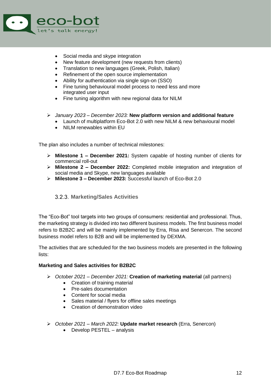

- Social media and skype integration
- New feature development (new requests from clients)
- Translation to new languages (Greek, Polish, Italian)
- Refinement of the open source implementation
- Ability for authentication via single sign-on (SSO)
- Fine tuning behavioural model process to need less and more integrated user input
- Fine tuning algorithm with new regional data for NILM
- ➢ *January 2023 – December 2023:* **New platform version and additional feature** 
	- Launch of multiplatform Eco-Bot 2.0 with new NILM & new behavioural model
	- NILM renewables within EU

The plan also includes a number of technical milestones:

- ➢ **Milestone 1 – December 2021:** System capable of hosting number of clients for commercial roll-out
- ➢ **Milestone 2 – December 2022:** Completed mobile integration and integration of social media and Skype, new languages available
- ➢ **Milestone 3 – December 2023:** Successful launch of Eco-Bot 2.0

#### <span id="page-12-0"></span>**Marketing/Sales Activities**

The "Eco-Bot" tool targets into two groups of consumers: residential and professional. Thus, the marketing strategy is divided into two different business models. The first business model refers to B2B2C and will be mainly implemented by Erra, Risa and Senercon. The second business model refers to B2B and will be implemented by DEXMA.

The activities that are scheduled for the two business models are presented in the following lists:

#### **Marketing and Sales activities for B2B2C**

- ➢ *October 2021 – December 2021:* **Creation of marketing material** (all partners)
	- Creation of training material
	- Pre-sales documentation
	- Content for social media
	- Sales material / flyers for offline sales meetings
	- Creation of demonstration video
- ➢ *October 2021 – March 2022:* **Update market research** (Erra, Senercon)
	- Develop PESTEL analysis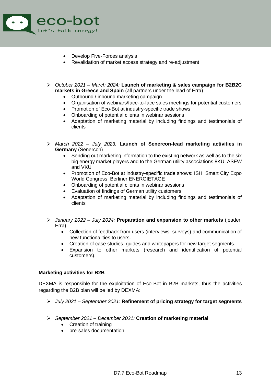

- Develop Five-Forces analysis
- Revalidation of market access strategy and re-adjustment
- ➢ *October 2021 – March 2024:* **Launch of marketing & sales campaign for B2B2C markets in Greece and Spain** (all partners under the lead of Erra)
	- Outbound / inbound marketing campaign
	- Organisation of webinars/face-to-face sales meetings for potential customers
	- Promotion of Eco-Bot at industry-specific trade shows
	- Onboarding of potential clients in webinar sessions
	- Adaptation of marketing material by including findings and testimonials of clients
- ➢ *March 2022 – July 2023:* **Launch of Senercon-lead marketing activities in Germany** (Senercon)
	- Sending out marketing information to the existing network as well as to the six big energy market players and to the German utility associations 8KU, ASEW and VKU
	- Promotion of Eco-Bot at industry-specific trade shows: ISH, Smart City Expo World Congress, Berliner ENERGIETAGE
	- Onboarding of potential clients in webinar sessions
	- Evaluation of findings of German utility customers
	- Adaptation of marketing material by including findings and testimonials of clients
- ➢ *January 2022 – July 2024:* **Preparation and expansion to other markets** (leader: Erra)
	- Collection of feedback from users (interviews, surveys) and communication of new functionalities to users.
	- Creation of case studies, guides and whitepapers for new target segments.
	- Expansion to other markets (research and identification of potential customers).

#### **Marketing activities for B2B**

DEXMA is responsible for the exploitation of Eco-Bot in B2B markets, thus the activities regarding the B2B plan will be led by DEXMA:

- ➢ *July 2021 – September 2021:* **Refinement of pricing strategy for target segments**
- ➢ *September 2021 – December 2021:* **Creation of marketing material**
	- Creation of training
	- pre-sales documentation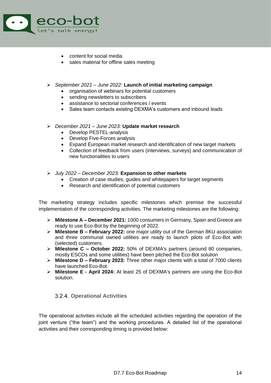

- content for social media
- sales material for offline sales meeting
- ➢ *September 2021 – June 2022:* **Launch of initial marketing campaign**
	- organisation of webinars for potential customers
	- sending newsletters to subscribers
	- assistance to sectorial conferences / events
	- Sales team contacts existing DEXMA's customers and inbound leads
- ➢ *December 2021 – June 2023:* **Update market research**
	- Develop PESTEL-analysis
	- Develop Five-Forces analysis
	- Expand European market research and identification of new target markets
	- Collection of feedback from users (interviews, surveys) and communication of new functionalities to users
- ➢ *July 2022 – December 2023:* **Expansion to other markets**
	- Creation of case studies, guides and whitepapers for target segments
	- Research and identification of potential customers

The marketing strategy includes specific milestones which premise the successful implementation of the corresponding activities. The marketing milestones are the following:

- ➢ **Milestone A – December 2021:** 1000 consumers in Germany, Spain and Greece are ready to use Eco-Bot by the beginning of 2022.
- ➢ **Milestone B – February 2022:** one major utility out of the German 8KU association and three communal owned utilities are ready to launch pilots of Eco-Bot with (selected) customers.
- ➢ **Milestone C – October 2022:** 50% of DEXMA's partners (around 80 companies, mostly ESCOs and some utilities) have been pitched the Eco-Bot solution
- ➢ **Milestone D – February 2023:** Three other major clients with a total of 7000 clients have launched Eco-Bot.
- ➢ **Milestone E - April 2024:** At least 25 of DEXMA's partners are using the Eco-Bot solution.

#### <span id="page-14-0"></span>**Operational Activities**

The operational activities include all the scheduled activities regarding the operation of the joint venture ("the team") and the working procedures. A detailed list of the operational activities and their corresponding timing is provided below: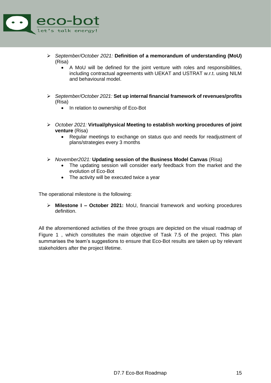

- ➢ *September/October 2021:* **Definition of a memorandum of understanding (MoU)** (Risa)
	- A MoU will be defined for the joint venture with roles and responsibilities, including contractual agreements with UEKAT and USTRAT w.r.t. using NILM and behavioural model.
- ➢ *September/October 2021:* **Set up internal financial framework of revenues/profits** (Risa)
	- In relation to ownership of Eco-Bot
- ➢ *October 2021:* **Virtual/physical Meeting to establish working procedures of joint venture** (Risa)
	- Regular meetings to exchange on status quo and needs for readjustment of plans/strategies every 3 months
- ➢ *November2021:* **Updating session of the Business Model Canvas** (Risa)
	- The updating session will consider early feedback from the market and the evolution of Eco-Bot
	- The activity will be executed twice a year

The operational milestone is the following:

➢ **Milestone I – October 2021:** MoU, financial framework and working procedures definition.

All the aforementioned activities of the three groups are depicted on the visual roadmap of [Figure 1](#page-16-0) , which constitutes the main objective of Task 7.5 of the project. This plan summarises the team's suggestions to ensure that Eco-Bot results are taken up by relevant stakeholders after the project lifetime.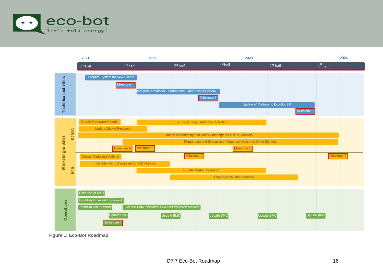



<span id="page-16-0"></span>**Figure 1: Eco-Bot Roadmap**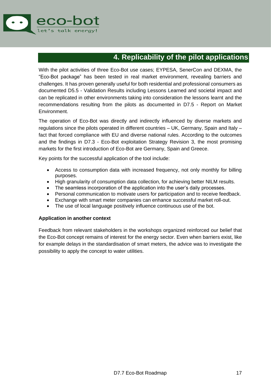

## **4. Replicability of the pilot applications**

<span id="page-17-0"></span>With the pilot activities of three Eco-Bot use cases; EYPESA, SenerCon and DEXMA, the "Eco-Bot package" has been tested in real market environment, revealing barriers and challenges. It has proven generally useful for both residential and professional consumers as documented D5.5 - Validation Results including Lessons Learned and societal impact and can be replicated in other environments taking into consideration the lessons learnt and the recommendations resulting from the pilots as documented in D7.5 - Report on Market Environment.

The operation of Eco-Bot was directly and indirectly influenced by diverse markets and regulations since the pilots operated in different countries – UK, Germany, Spain and Italy – fact that forced compliance with EU and diverse national rules. According to the outcomes and the findings in D7.3 - Eco-Bot exploitation Strategy Revision 3, the most promising markets for the first introduction of Eco-Bot are Germany, Spain and Greece.

Key points for the successful application of the tool include:

- Access to consumption data with increased frequency, not only monthly for billing purposes.
- High granularity of consumption data collection, for achieving better NILM results.
- The seamless incorporation of the application into the user's daily processes.
- Personal communication to motivate users for participation and to receive feedback.
- Exchange with smart meter companies can enhance successful market roll-out.
- The use of local language positively influence continuous use of the bot.

#### **Application in another context**

Feedback from relevant stakeholders in the workshops organized reinforced our belief that the Eco-Bot concept remains of interest for the energy sector. Even when barriers exist, like for example delays in the standardisation of smart meters, the advice was to investigate the possibility to apply the concept to water utilities.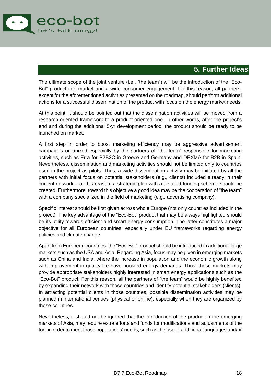

### **5. Further Ideas**

<span id="page-18-0"></span>The ultimate scope of the joint venture (i.e., "the team") will be the introduction of the "Eco-Bot" product into market and a wide consumer engagement. For this reason, all partners, except for the aforementioned activities presented on the roadmap, should perform additional actions for a successful dissemination of the product with focus on the energy market needs.

At this point, it should be pointed out that the dissemination activities will be moved from a research-oriented framework to a product-oriented one. In other words, after the project's end and during the additional 5-yr development period, the product should be ready to be launched on market.

A first step in order to boost marketing efficiency may be aggressive advertisement campaigns organized especially by the partners of "the team" responsible for marketing activities, such as Erra for B2B2C in Greece and Germany and DEXMA for B2B in Spain. Nevertheless, dissemination and marketing activities should not be limited only to countries used in the project as pilots. Thus, a wide dissemination activity may be initiated by all the partners with initial focus on potential stakeholders (e.g., clients) included already in their current network. For this reason, a strategic plan with a detailed funding scheme should be created. Furthermore, toward this objective a good idea may be the cooperation of "the team" with a company specialized in the field of marketing (e.g., advertising company).

Specific interest should be first given across whole Europe (not only countries included in the project). The key advantage of the "Eco-Bot" product that may be always highlighted should be its utility towards efficient and smart energy consumption. The latter constitutes a major objective for all European countries, especially under EU frameworks regarding energy policies and climate change.

Apart from European countries, the "Eco-Bot" product should be introduced in additional large markets such as the USA and Asia. Regarding Asia, focus may be given in emerging markets such as China and India, where the increase in population and the economic growth along with improvement in quality life have boosted energy demands. Thus, those markets may provide appropriate stakeholders highly interested in smart energy applications such as the "Eco-Bot" product. For this reason, all the partners of "the team" would be highly benefited by expanding their network with those countries and identify potential stakeholders (clients). In attracting potential clients in those countries, possible dissemination activities may be planned in international venues (physical or online), especially when they are organized by those countries.

Nevertheless, it should not be ignored that the introduction of the product in the emerging markets of Asia, may require extra efforts and funds for modifications and adjustments of the tool in order to meet those populations' needs, such as the use of additional languages and/or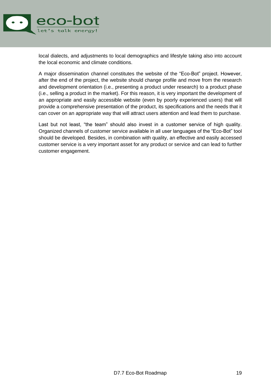

local dialects, and adjustments to local demographics and lifestyle taking also into account the local economic and climate conditions.

A major dissemination channel constitutes the website of the "Eco-Bot" project. However, after the end of the project, the website should change profile and move from the research and development orientation (i.e., presenting a product under research) to a product phase (i.e., selling a product in the market). For this reason, it is very important the development of an appropriate and easily accessible website (even by poorly experienced users) that will provide a comprehensive presentation of the product, its specifications and the needs that it can cover on an appropriate way that will attract users attention and lead them to purchase.

Last but not least, "the team" should also invest in a customer service of high quality. Organized channels of customer service available in all user languages of the "Eco-Bot" tool should be developed. Besides, in combination with quality, an effective and easily accessed customer service is a very important asset for any product or service and can lead to further customer engagement.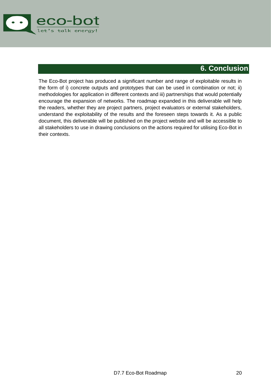

### **6. Conclusion**

<span id="page-20-0"></span>The Eco-Bot project has produced a significant number and range of exploitable results in the form of i) concrete outputs and prototypes that can be used in combination or not; ii) methodologies for application in different contexts and iii) partnerships that would potentially encourage the expansion of networks. The roadmap expanded in this deliverable will help the readers, whether they are project partners, project evaluators or external stakeholders, understand the exploitability of the results and the foreseen steps towards it. As a public document, this deliverable will be published on the project website and will be accessible to all stakeholders to use in drawing conclusions on the actions required for utilising Eco-Bot in their contexts.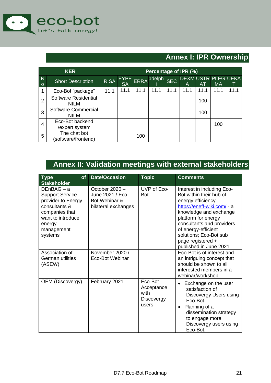

## **Annex I: IPR Ownership**

<span id="page-21-0"></span>

|                           | <b>KER</b>                          | Percentage of IPR (%) |                          |             |        |            |                                |      |           |      |
|---------------------------|-------------------------------------|-----------------------|--------------------------|-------------|--------|------------|--------------------------------|------|-----------|------|
| $\overline{N}$<br>$\circ$ | <b>Short Description</b>            | <b>RISA</b>           | <b>EYPE</b><br><b>SA</b> | <b>ERRA</b> | adelph | <b>SEC</b> | <b>DEXMUSTR PLEG UEKA</b><br>Α | AT   | <b>MA</b> |      |
|                           | Eco-Bot "package"                   | 11.1                  | 11.1                     | 11.1        | 11.1   | 11.1       | 11.1                           | 11.1 | 11.1      | 11.1 |
| 2                         | Software Residential<br><b>NILM</b> |                       |                          |             |        |            |                                | 100  |           |      |
| 3                         | Software Commercial<br><b>NILM</b>  |                       |                          |             |        |            |                                | 100  |           |      |
| 4                         | Eco-Bot backend<br>/expert system   |                       |                          |             |        |            |                                |      | 100       |      |
| 5                         | The chat bot<br>(software/frontend) |                       |                          | 100         |        |            |                                |      |           |      |

## **Annex II: Validation meetings with external stakeholders**

<span id="page-21-1"></span>

| <b>Type</b><br><b>of</b><br><b>Stakeholder</b>                                                                                                          | Date/Occasion                                                              | <b>Topic</b>                                         | <b>Comments</b>                                                                                                                                                                                                                                                                         |
|---------------------------------------------------------------------------------------------------------------------------------------------------------|----------------------------------------------------------------------------|------------------------------------------------------|-----------------------------------------------------------------------------------------------------------------------------------------------------------------------------------------------------------------------------------------------------------------------------------------|
| $DEnBAG - a$<br><b>Support Service</b><br>provider to Energy<br>consultants &<br>companies that<br>want to introduce<br>energy<br>management<br>systems | October 2020 -<br>June 2021 / Eco-<br>Bot Webinar &<br>bilateral exchanges | UVP of Eco-<br><b>Bot</b>                            | Interest in including Eco-<br>Bot within their hub of<br>energy efficiency<br>https://eneff-wiki.com/ - a<br>knowledge and exchange<br>platform for energy<br>consultants and providers<br>of energy-efficient<br>solutions; Eco-Bot sub<br>page registered +<br>published in June 2021 |
| Association of<br>German utilities<br>(ASEW)                                                                                                            | November 2020 /<br><b>Eco-Bot Webinar</b>                                  |                                                      | Eco-Bot is of interest and<br>an intriguing concept that<br>should be shown to all<br>interested members in a<br>webinar/workshop                                                                                                                                                       |
| <b>OEM (Discovergy)</b>                                                                                                                                 | February 2021                                                              | Eco-Bot<br>Acceptance<br>with<br>Discovergy<br>users | Exchange on the user<br>satisfaction of<br>Discovergy Users using<br>Eco-Bot.<br>Planning of a<br>$\bullet$<br>dissemination strategy<br>to engage more<br>Discovergy users using<br>Eco-Bot.                                                                                           |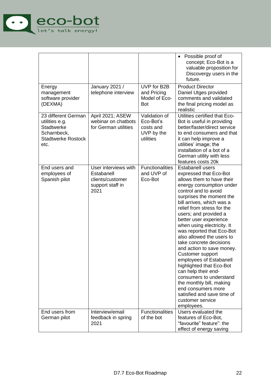

|                                                                                                                |                                                                                    |                                                                    | Possible proof of<br>$\bullet$<br>concept; Eco-Bot is a<br>valuable proposition for<br>Discovergy users in the<br>future.                                                                                                                                                                                                                                                                                                                                                                                                                                                                                                                                                   |
|----------------------------------------------------------------------------------------------------------------|------------------------------------------------------------------------------------|--------------------------------------------------------------------|-----------------------------------------------------------------------------------------------------------------------------------------------------------------------------------------------------------------------------------------------------------------------------------------------------------------------------------------------------------------------------------------------------------------------------------------------------------------------------------------------------------------------------------------------------------------------------------------------------------------------------------------------------------------------------|
| Energy<br>management<br>software provider<br>(DEXMA)                                                           | January 2021 /<br>telephone interview                                              | UVP for B2B<br>and Pricing<br>Model of Eco-<br><b>Bot</b>          | <b>Product Director</b><br>Daniel Utges provided<br>comments and validated<br>the final pricing model as<br>realistic                                                                                                                                                                                                                                                                                                                                                                                                                                                                                                                                                       |
| 23 different German<br>utilities e.g.<br><b>Stadtwerke</b><br>Scharnbeck,<br><b>Stadtwerke Rostock</b><br>etc. | April 2021; ASEW<br>webinar on chatbots<br>for German utilities                    | Validation of<br>Eco-Bot's<br>costs and<br>UVP by the<br>utilities | Utilities certified that Eco-<br>Bot is useful in providing<br>better/faster/direct service<br>to end consumers and that<br>it can help improve a<br>utilities' image; the<br>installation of a bot of a<br>German utility with less<br>features costs 20k                                                                                                                                                                                                                                                                                                                                                                                                                  |
| End users and<br>employees of<br>Spanish pilot                                                                 | User interviews with<br>Estabanell<br>clients/customer<br>support staff in<br>2021 | <b>Functionalities</b><br>and UVP of<br>Eco-Bot                    | <b>Estabanell users</b><br>expressed that Eco-Bot<br>allows them to have their<br>energy consumption under<br>control and to avoid<br>surprises the moment the<br>bill arrives, which was a<br>relief from stress for the<br>users; and provided a<br>better user experience<br>when using electricity. It<br>was reported that Eco-Bot<br>also allowed the users to<br>take concrete decisions<br>and action to save money.<br>Customer support<br>employees of Estabanell<br>highlighted that Eco-Bot<br>can help their end-<br>consumers to understand<br>the monthly bill, making<br>end consumers more<br>satisfied and save time of<br>customer service<br>employees. |
| End users from<br>German pilot                                                                                 | Interview/email<br>feedback in spring<br>2021                                      | <b>Functionalities</b><br>of the bot                               | Users evaluated the<br>features of Eco-Bot,<br>"favourite" feature": the<br>effect of energy saving                                                                                                                                                                                                                                                                                                                                                                                                                                                                                                                                                                         |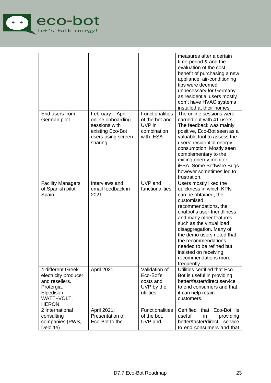

|                                                                                                                       |                                                                                                             |                                                                                | measures after a certain<br>time-period & and the<br>evaluation of the cost-<br>benefit of purchasing a new<br>appliance; air-conditioning<br>tips were deemed<br>unnecessary for Germany<br>as residential users mostly<br>don't have HVAC systems<br>installed at their homes.                                                                                                  |
|-----------------------------------------------------------------------------------------------------------------------|-------------------------------------------------------------------------------------------------------------|--------------------------------------------------------------------------------|-----------------------------------------------------------------------------------------------------------------------------------------------------------------------------------------------------------------------------------------------------------------------------------------------------------------------------------------------------------------------------------|
| End users from<br>German pilot                                                                                        | February - April<br>online onboarding<br>sessions with<br>existing Eco-Bot<br>users using screen<br>sharing | <b>Functionalities</b><br>of the bot and<br>UVP in<br>combination<br>with IESA | The online sessions were<br>carried out with 41 users.<br>The feedback was mainly<br>positive, Eco-Bot seen as a<br>valuable tool to assess the<br>users' residential energy<br>consumption. Mostly seen<br>complementary to the<br>exiting energy monitor<br><b>iESA.</b> Some Software Bugs<br>however sometimes led to<br>frustration.                                         |
| <b>Facility Managers</b><br>of Spanish pilot<br>Spain                                                                 | Interviews and<br>email feedback in<br>2021                                                                 | UVP and<br>functionalities                                                     | Users mostly liked the<br>quickness in which KPIs<br>can be obtained, the<br>customised<br>recommendations, the<br>chatbot's user-friendliness<br>and many other features,<br>such as the virtual load<br>disaggregation. Many of<br>the demo users noted that<br>the recommendations<br>needed to be refined but<br>insisted on receiving<br>recommendations more<br>frequently. |
| 4 different Greek<br>electricity producer<br>and resellers.<br>Protergia,<br>Elpedison,<br>WATT+VOLT,<br><b>HERON</b> | April 2021                                                                                                  | Validation of<br>Eco-Bot's<br>costs and<br>UVP by the<br>utilities             | Utilities certified that Eco-<br>Bot is useful in providing<br>better/faster/direct service<br>to end consumers and that<br>it can help retain<br>customers.                                                                                                                                                                                                                      |
| 2 International<br>consulting<br>companies (PWS,<br>Deloitte)                                                         | April 2021;<br>Presentation of<br>Eco-Bot to the                                                            | <b>Functionalities</b><br>of the bot,<br>UVP and                               | Certified that Eco-Bot is<br>useful<br>in<br>providing<br>better/faster/direct<br>service<br>to end consumers and that                                                                                                                                                                                                                                                            |